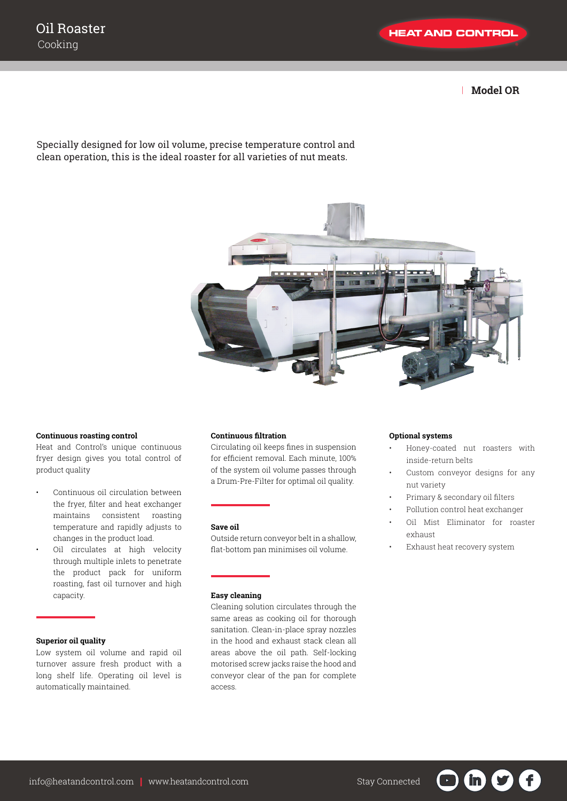| **Model OR**

# Specially designed for low oil volume, precise temperature control and clean operation, this is the ideal roaster for all varieties of nut meats.



#### **Continuous roasting control**

Heat and Control's unique continuous fryer design gives you total control of product quality

- Continuous oil circulation between the fryer, filter and heat exchanger maintains consistent roasting temperature and rapidly adjusts to changes in the product load.
- Oil circulates at high velocity through multiple inlets to penetrate the product pack for uniform roasting, fast oil turnover and high capacity.

### **Superior oil quality**

Low system oil volume and rapid oil turnover assure fresh product with a long shelf life. Operating oil level is automatically maintained.

### **Continuous filtration**

Circulating oil keeps fines in suspension for efficient removal. Each minute, 100% of the system oil volume passes through a Drum-Pre-Filter for optimal oil quality.

#### **Save oil**

Outside return conveyor belt in a shallow, flat-bottom pan minimises oil volume.

#### **Easy cleaning**

Cleaning solution circulates through the same areas as cooking oil for thorough sanitation. Clean-in-place spray nozzles in the hood and exhaust stack clean all areas above the oil path. Self-locking motorised screw jacks raise the hood and conveyor clear of the pan for complete access.

#### **Optional systems**

- Honey-coated nut roasters with inside-return belts
- Custom conveyor designs for any nut variety
- Primary & secondary oil filters
- Pollution control heat exchanger
- Oil Mist Eliminator for roaster exhaust

in in

• Exhaust heat recovery system